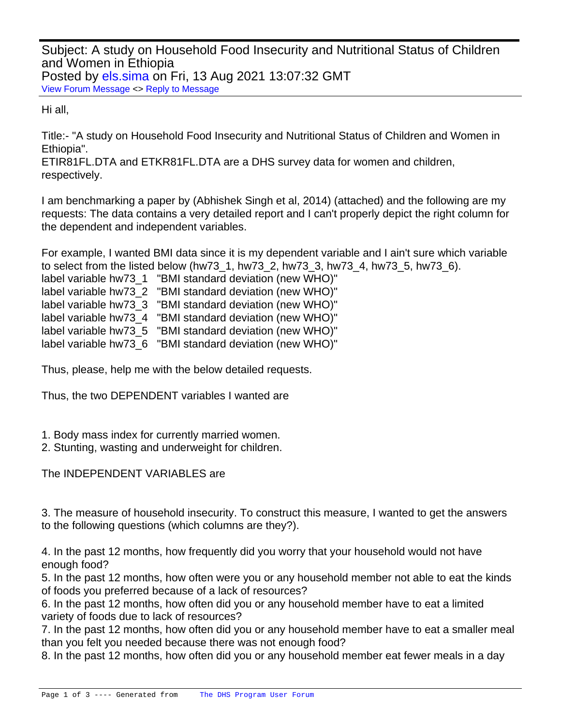Subject: A study on Household Food Insecurity and Nutritional Status of Children and Women in Ethiopia Posted by [els.sima](https://userforum.dhsprogram.com/index.php?t=usrinfo&id=13136) on Fri, 13 Aug 2021 13:07:32 GMT [View Forum Message](https://userforum.dhsprogram.com/index.php?t=rview&th=11180&goto=23267#msg_23267) <> [Reply to Message](https://userforum.dhsprogram.com/index.php?t=post&reply_to=23267)

Hi all,

Title:- "A study on Household Food Insecurity and Nutritional Status of Children and Women in Ethiopia".

ETIR81FL.DTA and ETKR81FL.DTA are a DHS survey data for women and children, respectively.

I am benchmarking a paper by (Abhishek Singh et al, 2014) (attached) and the following are my requests: The data contains a very detailed report and I can't properly depict the right column for the dependent and independent variables.

For example, I wanted BMI data since it is my dependent variable and I ain't sure which variable to select from the listed below (hw73\_1, hw73\_2, hw73\_3, hw73\_4, hw73\_5, hw73\_6). label variable hw73\_1 "BMI standard deviation (new WHO)"

label variable hw73\_2 "BMI standard deviation (new WHO)"

label variable hw73\_3 "BMI standard deviation (new WHO)"

label variable hw73\_4 "BMI standard deviation (new WHO)"

label variable hw73\_5 "BMI standard deviation (new WHO)"

label variable hw73\_6 "BMI standard deviation (new WHO)"

Thus, please, help me with the below detailed requests.

Thus, the two DEPENDENT variables I wanted are

- 1. Body mass index for currently married women.
- 2. Stunting, wasting and underweight for children.

The INDEPENDENT VARIABLES are

3. The measure of household insecurity. To construct this measure, I wanted to get the answers to the following questions (which columns are they?).

4. In the past 12 months, how frequently did you worry that your household would not have enough food?

5. In the past 12 months, how often were you or any household member not able to eat the kinds of foods you preferred because of a lack of resources?

6. In the past 12 months, how often did you or any household member have to eat a limited variety of foods due to lack of resources?

7. In the past 12 months, how often did you or any household member have to eat a smaller meal than you felt you needed because there was not enough food?

8. In the past 12 months, how often did you or any household member eat fewer meals in a day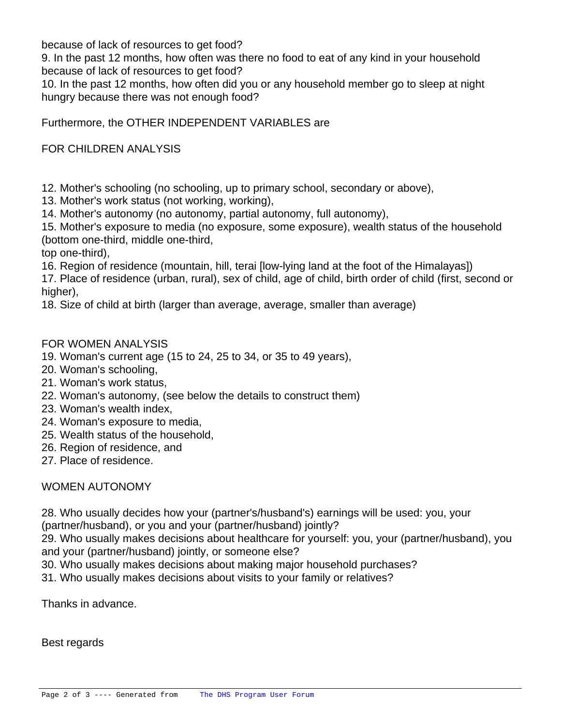because of lack of resources to get food?

9. In the past 12 months, how often was there no food to eat of any kind in your household because of lack of resources to get food?

10. In the past 12 months, how often did you or any household member go to sleep at night hungry because there was not enough food?

Furthermore, the OTHER INDEPENDENT VARIABLES are

FOR CHILDREN ANALYSIS

12. Mother's schooling (no schooling, up to primary school, secondary or above),

13. Mother's work status (not working, working),

14. Mother's autonomy (no autonomy, partial autonomy, full autonomy),

15. Mother's exposure to media (no exposure, some exposure), wealth status of the household (bottom one-third, middle one-third,

top one-third),

16. Region of residence (mountain, hill, terai [low-lying land at the foot of the Himalayas])

17. Place of residence (urban, rural), sex of child, age of child, birth order of child (first, second or higher),

18. Size of child at birth (larger than average, average, smaller than average)

## FOR WOMEN ANALYSIS

- 19. Woman's current age (15 to 24, 25 to 34, or 35 to 49 years),
- 20. Woman's schooling,
- 21. Woman's work status,
- 22. Woman's autonomy, (see below the details to construct them)
- 23. Woman's wealth index,
- 24. Woman's exposure to media,
- 25. Wealth status of the household,
- 26. Region of residence, and
- 27. Place of residence.

## WOMEN AUTONOMY

28. Who usually decides how your (partner's/husband's) earnings will be used: you, your (partner/husband), or you and your (partner/husband) jointly?

29. Who usually makes decisions about healthcare for yourself: you, your (partner/husband), you and your (partner/husband) jointly, or someone else?

- 30. Who usually makes decisions about making major household purchases?
- 31. Who usually makes decisions about visits to your family or relatives?

Thanks in advance.

Best regards